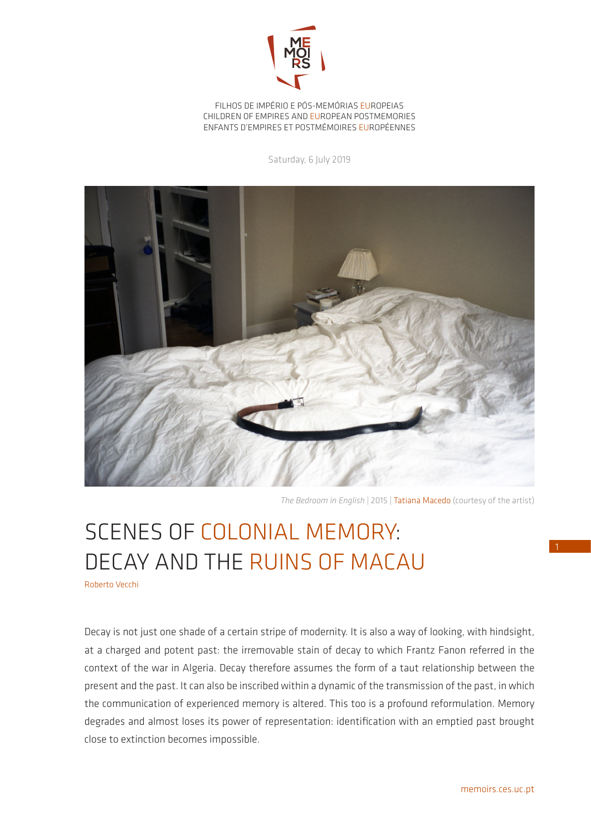

FILHOS DE IMPÉRIO E PÓS-MEMÓRIAS EUROPEIAS CHILDREN OF EMPIRES AND EUROPEAN POSTMEMORIES ENFANTS D'EMPIRES ET POSTMÉMOIRES EUROPÉENNES

Saturday, 6 July 2019



*The Bedroom in English* | 2015 | Tatiana Macedo (courtesy of the artist)

## SCENES OF COLONIAL MEMORY: DECAY AND THE RUINS OF MACAU

Roberto Vecchi

Decay is not just one shade of a certain stripe of modernity. It is also a way of looking, with hindsight, at a charged and potent past: the irremovable stain of decay to which Frantz Fanon referred in the context of the war in Algeria. Decay therefore assumes the form of a taut relationship between the present and the past. It can also be inscribed within a dynamic of the transmission of the past, in which the communication of experienced memory is altered. This too is a profound reformulation. Memory degrades and almost loses its power of representation: identification with an emptied past brought close to extinction becomes impossible.

1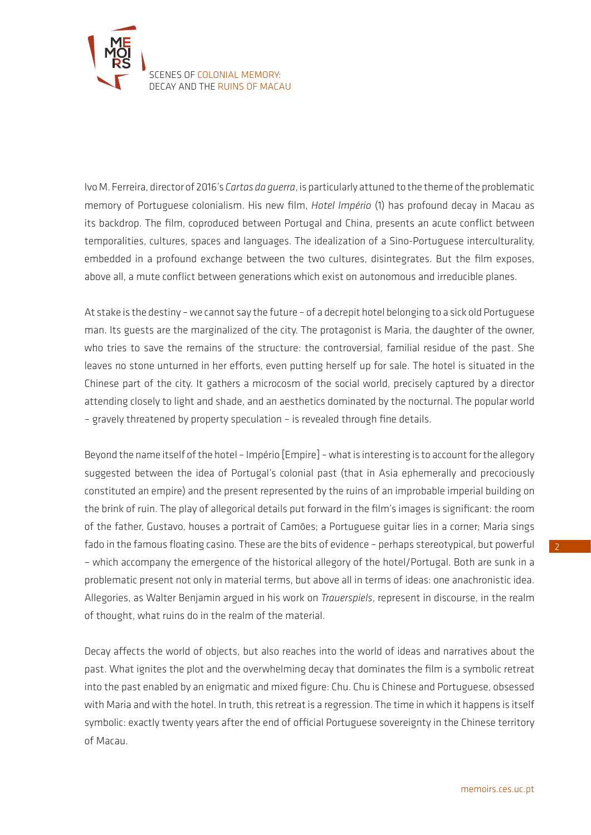

Ivo M. Ferreira, director of 2016's *Cartas da guerra*, is particularly attuned to the theme of the problematic memory of Portuguese colonialism. His new film, *Hotel Império* (1) has profound decay in Macau as its backdrop. The film, coproduced between Portugal and China, presents an acute conflict between temporalities, cultures, spaces and languages. The idealization of a Sino-Portuguese interculturality, embedded in a profound exchange between the two cultures, disintegrates. But the film exposes, above all, a mute conflict between generations which exist on autonomous and irreducible planes.

At stake is the destiny – we cannot say the future – of a decrepit hotel belonging to a sick old Portuguese man. Its guests are the marginalized of the city. The protagonist is Maria, the daughter of the owner, who tries to save the remains of the structure: the controversial, familial residue of the past. She leaves no stone unturned in her efforts, even putting herself up for sale. The hotel is situated in the Chinese part of the city. It gathers a microcosm of the social world, precisely captured by a director attending closely to light and shade, and an aesthetics dominated by the nocturnal. The popular world – gravely threatened by property speculation – is revealed through fine details.

Beyond the name itself of the hotel – Império [Empire] – what is interesting is to account for the allegory suggested between the idea of Portugal's colonial past (that in Asia ephemerally and precociously constituted an empire) and the present represented by the ruins of an improbable imperial building on the brink of ruin. The play of allegorical details put forward in the film's images is significant: the room of the father, Gustavo, houses a portrait of Camões; a Portuguese guitar lies in a corner; Maria sings fado in the famous floating casino. These are the bits of evidence – perhaps stereotypical, but powerful – which accompany the emergence of the historical allegory of the hotel/Portugal. Both are sunk in a problematic present not only in material terms, but above all in terms of ideas: one anachronistic idea. Allegories, as Walter Benjamin argued in his work on *Trauerspiels*, represent in discourse, in the realm of thought, what ruins do in the realm of the material.

Decay affects the world of objects, but also reaches into the world of ideas and narratives about the past. What ignites the plot and the overwhelming decay that dominates the film is a symbolic retreat into the past enabled by an enigmatic and mixed figure: Chu. Chu is Chinese and Portuguese, obsessed with Maria and with the hotel. In truth, this retreat is a regression. The time in which it happens is itself symbolic: exactly twenty years after the end of official Portuguese sovereignty in the Chinese territory of Macau.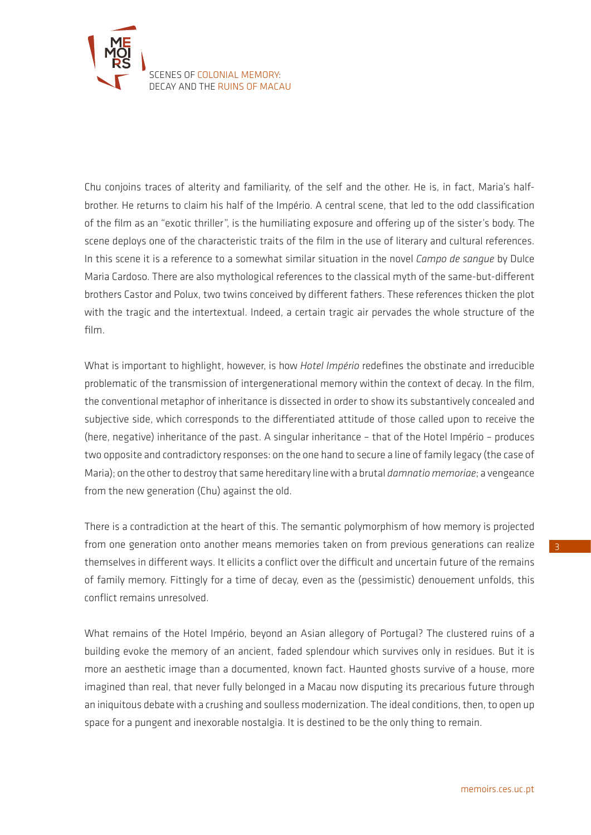

Chu conjoins traces of alterity and familiarity, of the self and the other. He is, in fact, Maria's halfbrother. He returns to claim his half of the Império. A central scene, that led to the odd classification of the film as an "exotic thriller", is the humiliating exposure and offering up of the sister's body. The scene deploys one of the characteristic traits of the film in the use of literary and cultural references. In this scene it is a reference to a somewhat similar situation in the novel *Campo de sangue* by Dulce Maria Cardoso. There are also mythological references to the classical myth of the same-but-different brothers Castor and Polux, two twins conceived by different fathers. These references thicken the plot with the tragic and the intertextual. Indeed, a certain tragic air pervades the whole structure of the film.

What is important to highlight, however, is how *Hotel Império* redefines the obstinate and irreducible problematic of the transmission of intergenerational memory within the context of decay. In the film, the conventional metaphor of inheritance is dissected in order to show its substantively concealed and subjective side, which corresponds to the differentiated attitude of those called upon to receive the (here, negative) inheritance of the past. A singular inheritance – that of the Hotel Império – produces two opposite and contradictory responses: on the one hand to secure a line of family legacy (the case of Maria); on the other to destroy that same hereditary line with a brutal *damnatio memoriae*; a vengeance from the new generation (Chu) against the old.

There is a contradiction at the heart of this. The semantic polymorphism of how memory is projected from one generation onto another means memories taken on from previous generations can realize themselves in different ways. It ellicits a conflict over the difficult and uncertain future of the remains of family memory. Fittingly for a time of decay, even as the (pessimistic) denouement unfolds, this conflict remains unresolved.

What remains of the Hotel Império, beyond an Asian allegory of Portugal? The clustered ruins of a building evoke the memory of an ancient, faded splendour which survives only in residues. But it is more an aesthetic image than a documented, known fact. Haunted ghosts survive of a house, more imagined than real, that never fully belonged in a Macau now disputing its precarious future through an iniquitous debate with a crushing and soulless modernization. The ideal conditions, then, to open up space for a pungent and inexorable nostalgia. It is destined to be the only thing to remain.